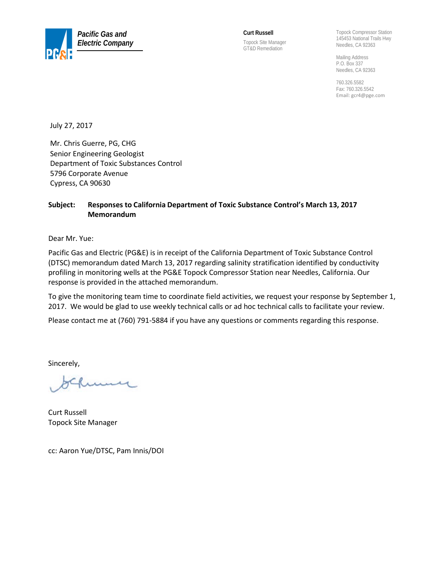

**Curt Russell**  Topock Site Manager GT&D Remediation

Topock Compressor Station 145453 National Trails Hwy Needles, CA 92363

Mailing Address P.O. Box 337 Needles, CA 92363

760.326.5582 Fax: 760.326.5542 Email[: gcr4@pge.com](mailto:gcr4@pge.com)

July 27, 2017

Mr. Chris Guerre, PG, CHG Senior Engineering Geologist Department of Toxic Substances Control 5796 Corporate Avenue Cypress, CA 90630

#### **Subject: Responses to California Department of Toxic Substance Control's March 13, 2017 Memorandum**

Dear Mr. Yue:

Pacific Gas and Electric (PG&E) is in receipt of the California Department of Toxic Substance Control (DTSC) memorandum dated March 13, 2017 regarding salinity stratification identified by conductivity profiling in monitoring wells at the PG&E Topock Compressor Station near Needles, California. Our response is provided in the attached memorandum.

To give the monitoring team time to coordinate field activities, we request your response by September 1, 2017. We would be glad to use weekly technical calls or ad hoc technical calls to facilitate your review.

Please contact me at (760) 791‐5884 if you have any questions or comments regarding this response.

Sincerely,

ung

Curt Russell Topock Site Manager

cc: Aaron Yue/DTSC, Pam Innis/DOI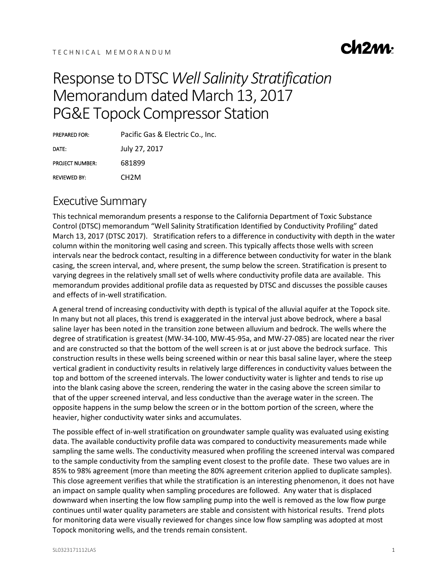

## Response to DTSC *Well Salinity Stratification* Memorandum dated March 13, 2017 PG&E Topock Compressor Station

PREPARED FOR: Pacific Gas & Electric Co., Inc. DATE: July 27, 2017 PROJECT NUMBER: 681899 REVIEWED BY: CH2M

## Executive Summary

This technical memorandum presents a response to the California Department of Toxic Substance Control (DTSC) memorandum "Well Salinity Stratification Identified by Conductivity Profiling" dated March 13, 2017 (DTSC 2017). Stratification refers to a difference in conductivity with depth in the water column within the monitoring well casing and screen. This typically affects those wells with screen intervals near the bedrock contact, resulting in a difference between conductivity for water in the blank casing, the screen interval, and, where present, the sump below the screen. Stratification is present to varying degrees in the relatively small set of wells where conductivity profile data are available. This memorandum provides additional profile data as requested by DTSC and discusses the possible causes and effects of in-well stratification.

A general trend of increasing conductivity with depth is typical of the alluvial aquifer at the Topock site. In many but not all places, this trend is exaggerated in the interval just above bedrock, where a basal saline layer has been noted in the transition zone between alluvium and bedrock. The wells where the degree of stratification is greatest (MW-34-100, MW-45-95a, and MW-27-085) are located near the river and are constructed so that the bottom of the well screen is at or just above the bedrock surface. This construction results in these wells being screened within or near this basal saline layer, where the steep vertical gradient in conductivity results in relatively large differences in conductivity values between the top and bottom of the screened intervals. The lower conductivity water is lighter and tends to rise up into the blank casing above the screen, rendering the water in the casing above the screen similar to that of the upper screened interval, and less conductive than the average water in the screen. The opposite happens in the sump below the screen or in the bottom portion of the screen, where the heavier, higher conductivity water sinks and accumulates.

The possible effect of in-well stratification on groundwater sample quality was evaluated using existing data. The available conductivity profile data was compared to conductivity measurements made while sampling the same wells. The conductivity measured when profiling the screened interval was compared to the sample conductivity from the sampling event closest to the profile date. These two values are in 85% to 98% agreement (more than meeting the 80% agreement criterion applied to duplicate samples). This close agreement verifies that while the stratification is an interesting phenomenon, it does not have an impact on sample quality when sampling procedures are followed. Any water that is displaced downward when inserting the low flow sampling pump into the well is removed as the low flow purge continues until water quality parameters are stable and consistent with historical results. Trend plots for monitoring data were visually reviewed for changes since low flow sampling was adopted at most Topock monitoring wells, and the trends remain consistent.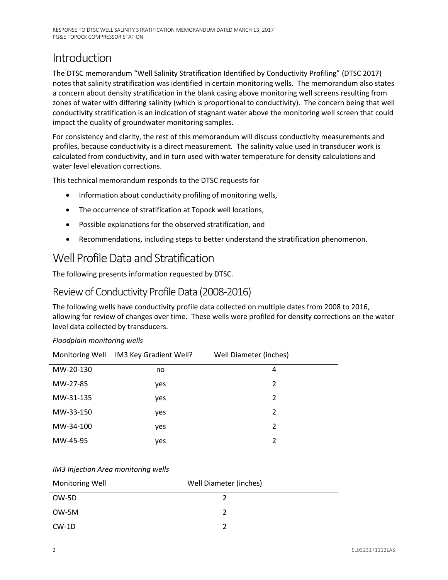## Introduction

The DTSC memorandum "Well Salinity Stratification Identified by Conductivity Profiling" (DTSC 2017) notes that salinity stratification was identified in certain monitoring wells. The memorandum also states a concern about density stratification in the blank casing above monitoring well screens resulting from zones of water with differing salinity (which is proportional to conductivity). The concern being that well conductivity stratification is an indication of stagnant water above the monitoring well screen that could impact the quality of groundwater monitoring samples.

For consistency and clarity, the rest of this memorandum will discuss conductivity measurements and profiles, because conductivity is a direct measurement. The salinity value used in transducer work is calculated from conductivity, and in turn used with water temperature for density calculations and water level elevation corrections.

This technical memorandum responds to the DTSC requests for

- Information about conductivity profiling of monitoring wells,
- The occurrence of stratification at Topock well locations,
- Possible explanations for the observed stratification, and
- Recommendations, including steps to better understand the stratification phenomenon.

## Well Profile Data and Stratification

The following presents information requested by DTSC.

## Review of Conductivity Profile Data (2008-2016)

The following wells have conductivity profile data collected on multiple dates from 2008 to 2016, allowing for review of changes over time. These wells were profiled for density corrections on the water level data collected by transducers.

| Monitoring Well | IM3 Key Gradient Well? | Well Diameter (inches) |  |
|-----------------|------------------------|------------------------|--|
| MW-20-130       | no                     | 4                      |  |
| MW-27-85        | yes                    | 2                      |  |
| MW-31-135       | yes                    | 2                      |  |
| MW-33-150       | yes                    | 2                      |  |
| MW-34-100       | yes                    | 2                      |  |
| MW-45-95        | yes                    | $\mathfrak{p}$         |  |

#### *Floodplain monitoring wells*

#### *IM3 Injection Area monitoring wells*

| <b>Monitoring Well</b> | Well Diameter (inches) |  |
|------------------------|------------------------|--|
| OW-5D                  |                        |  |
| OW-5M                  |                        |  |
| CW-1D                  |                        |  |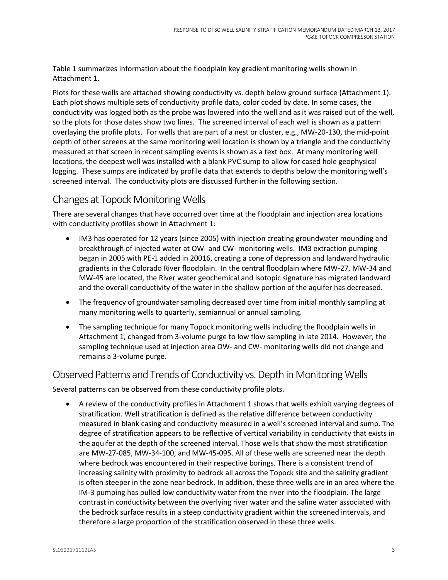Table 1 summarizes information about the floodplain key gradient monitoring wells shown in Attachment 1.

Plots for these wells are attached showing conductivity vs. depth below ground surface (Attachment 1). Each plot shows multiple sets of conductivity profile data, color coded by date. In some cases, the conductivity was logged both as the probe was lowered into the well and as it was raised out of the well, so the plots for those dates show two lines. The screened interval of each well is shown as a pattern overlaying the profile plots. For wells that are part of a nest or cluster, e.g., MW-20-130, the mid-point depth of other screens at the same monitoring well location is shown by a triangle and the conductivity measured at that screen in recent sampling events is shown as a text box. At many monitoring well locations, the deepest well was installed with a blank PVC sump to allow for cased hole geophysical logging. These sumps are indicated by profile data that extends to depths below the monitoring well's screened interval. The conductivity plots are discussed further in the following section.

## Changes at Topock Monitoring Wells

There are several changes that have occurred over time at the floodplain and injection area locations with conductivity profiles shown in Attachment 1:

- IM3 has operated for 12 years (since 2005) with injection creating groundwater mounding and breakthrough of injected water at OW- and CW- monitoring wells. IM3 extraction pumping began in 2005 with PE-1 added in 20016, creating a cone of depression and landward hydraulic gradients in the Colorado River floodplain. In the central floodplain where MW-27, MW-34 and MW-45 are located, the River water geochemical and isotopic signature has migrated landward and the overall conductivity of the water in the shallow portion of the aquifer has decreased.
- The frequency of groundwater sampling decreased over time from initial monthly sampling at many monitoring wells to quarterly, semiannual or annual sampling.
- The sampling technique for many Topock monitoring wells including the floodplain wells in Attachment 1, changed from 3-volume purge to low flow sampling in late 2014. However, the sampling technique used at injection area OW- and CW- monitoring wells did not change and remains a 3-volume purge.

#### Observed Patterns and Trends of Conductivity vs. Depth in Monitoring Wells

Several patterns can be observed from these conductivity profile plots.

• A review of the conductivity profiles in Attachment 1 shows that wells exhibit varying degrees of stratification. Well stratification is defined as the relative difference between conductivity measured in blank casing and conductivity measured in a well's screened interval and sump. The degree of stratification appears to be reflective of vertical variability in conductivity that exists in the aquifer at the depth of the screened interval. Those wells that show the most stratification are MW-27-085, MW-34-100, and MW-45-095. All of these wells are screened near the depth where bedrock was encountered in their respective borings. There is a consistent trend of increasing salinity with proximity to bedrock all across the Topock site and the salinity gradient is often steeper in the zone near bedrock. In addition, these three wells are in an area where the IM-3 pumping has pulled low conductivity water from the river into the floodplain. The large contrast in conductivity between the overlying river water and the saline water associated with the bedrock surface results in a steep conductivity gradient within the screened intervals, and therefore a large proportion of the stratification observed in these three wells.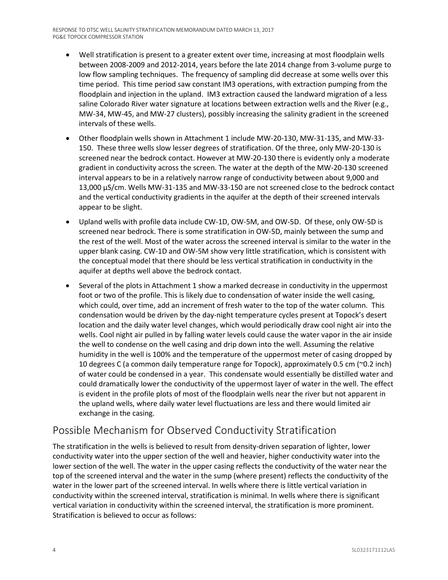- Well stratification is present to a greater extent over time, increasing at most floodplain wells between 2008-2009 and 2012-2014, years before the late 2014 change from 3-volume purge to low flow sampling techniques. The frequency of sampling did decrease at some wells over this time period. This time period saw constant IM3 operations, with extraction pumping from the floodplain and injection in the upland. IM3 extraction caused the landward migration of a less saline Colorado River water signature at locations between extraction wells and the River (e.g., MW-34, MW-45, and MW-27 clusters), possibly increasing the salinity gradient in the screened intervals of these wells.
- Other floodplain wells shown in Attachment 1 include MW-20-130, MW-31-135, and MW-33- 150. These three wells slow lesser degrees of stratification. Of the three, only MW-20-130 is screened near the bedrock contact. However at MW-20-130 there is evidently only a moderate gradient in conductivity across the screen. The water at the depth of the MW-20-130 screened interval appears to be in a relatively narrow range of conductivity between about 9,000 and 13,000 μS/cm. Wells MW-31-135 and MW-33-150 are not screened close to the bedrock contact and the vertical conductivity gradients in the aquifer at the depth of their screened intervals appear to be slight.
- Upland wells with profile data include CW-1D, OW-5M, and OW-5D. Of these, only OW-5D is screened near bedrock. There is some stratification in OW-5D, mainly between the sump and the rest of the well. Most of the water across the screened interval is similar to the water in the upper blank casing. CW-1D and OW-5M show very little stratification, which is consistent with the conceptual model that there should be less vertical stratification in conductivity in the aquifer at depths well above the bedrock contact.
- Several of the plots in Attachment 1 show a marked decrease in conductivity in the uppermost foot or two of the profile. This is likely due to condensation of water inside the well casing, which could, over time, add an increment of fresh water to the top of the water column. This condensation would be driven by the day-night temperature cycles present at Topock's desert location and the daily water level changes, which would periodically draw cool night air into the wells. Cool night air pulled in by falling water levels could cause the water vapor in the air inside the well to condense on the well casing and drip down into the well. Assuming the relative humidity in the well is 100% and the temperature of the uppermost meter of casing dropped by 10 degrees C (a common daily temperature range for Topock), approximately 0.5 cm (~0.2 inch) of water could be condensed in a year. This condensate would essentially be distilled water and could dramatically lower the conductivity of the uppermost layer of water in the well. The effect is evident in the profile plots of most of the floodplain wells near the river but not apparent in the upland wells, where daily water level fluctuations are less and there would limited air exchange in the casing.

## Possible Mechanism for Observed Conductivity Stratification

The stratification in the wells is believed to result from density-driven separation of lighter, lower conductivity water into the upper section of the well and heavier, higher conductivity water into the lower section of the well. The water in the upper casing reflects the conductivity of the water near the top of the screened interval and the water in the sump (where present) reflects the conductivity of the water in the lower part of the screened interval. In wells where there is little vertical variation in conductivity within the screened interval, stratification is minimal. In wells where there is significant vertical variation in conductivity within the screened interval, the stratification is more prominent. Stratification is believed to occur as follows: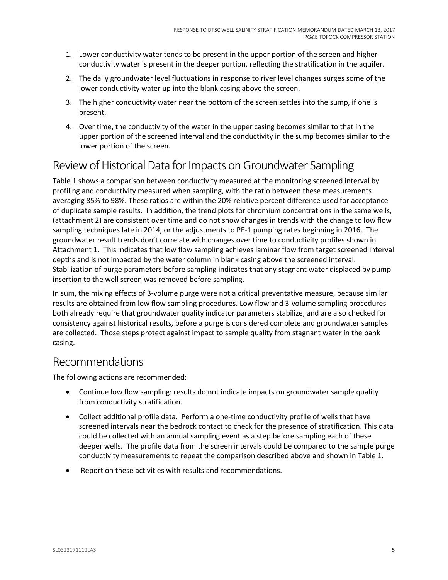- 1. Lower conductivity water tends to be present in the upper portion of the screen and higher conductivity water is present in the deeper portion, reflecting the stratification in the aquifer.
- 2. The daily groundwater level fluctuations in response to river level changes surges some of the lower conductivity water up into the blank casing above the screen.
- 3. The higher conductivity water near the bottom of the screen settles into the sump, if one is present.
- 4. Over time, the conductivity of the water in the upper casing becomes similar to that in the upper portion of the screened interval and the conductivity in the sump becomes similar to the lower portion of the screen.

## Review of Historical Data for Impacts on Groundwater Sampling

Table 1 shows a comparison between conductivity measured at the monitoring screened interval by profiling and conductivity measured when sampling, with the ratio between these measurements averaging 85% to 98%. These ratios are within the 20% relative percent difference used for acceptance of duplicate sample results. In addition, the trend plots for chromium concentrations in the same wells, (attachment 2) are consistent over time and do not show changes in trends with the change to low flow sampling techniques late in 2014, or the adjustments to PE-1 pumping rates beginning in 2016. The groundwater result trends don't correlate with changes over time to conductivity profiles shown in Attachment 1. This indicates that low flow sampling achieves laminar flow from target screened interval depths and is not impacted by the water column in blank casing above the screened interval. Stabilization of purge parameters before sampling indicates that any stagnant water displaced by pump insertion to the well screen was removed before sampling.

In sum, the mixing effects of 3-volume purge were not a critical preventative measure, because similar results are obtained from low flow sampling procedures. Low flow and 3-volume sampling procedures both already require that groundwater quality indicator parameters stabilize, and are also checked for consistency against historical results, before a purge is considered complete and groundwater samples are collected. Those steps protect against impact to sample quality from stagnant water in the bank casing.

## Recommendations

The following actions are recommended:

- Continue low flow sampling: results do not indicate impacts on groundwater sample quality from conductivity stratification.
- Collect additional profile data. Perform a one-time conductivity profile of wells that have screened intervals near the bedrock contact to check for the presence of stratification. This data could be collected with an annual sampling event as a step before sampling each of these deeper wells. The profile data from the screen intervals could be compared to the sample purge conductivity measurements to repeat the comparison described above and shown in Table 1.
- Report on these activities with results and recommendations.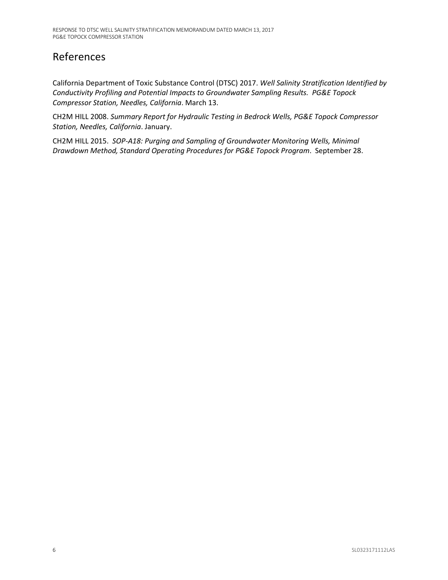## References

California Department of Toxic Substance Control (DTSC) 2017. *Well Salinity Stratification Identified by Conductivity Profiling and Potential Impacts to Groundwater Sampling Results. PG&E Topock Compressor Station, Needles, California*. March 13.

CH2M HILL 2008. *Summary Report for Hydraulic Testing in Bedrock Wells, PG&E Topock Compressor Station, Needles, California*. January.

CH2M HILL 2015. *SOP-A18: Purging and Sampling of Groundwater Monitoring Wells, Minimal Drawdown Method, Standard Operating Procedures for PG&E Topock Program*. September 28.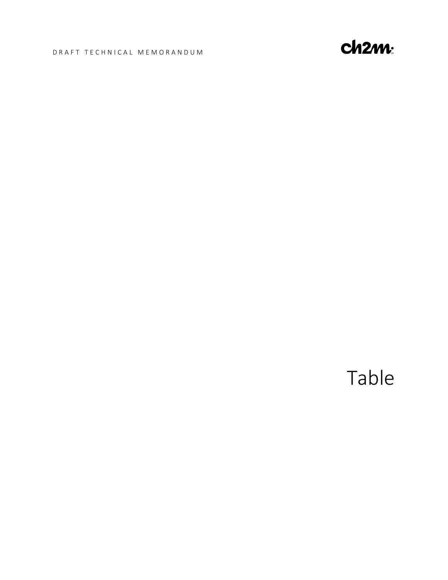#### DRAFT TECHNICAL MEMORANDUM



Table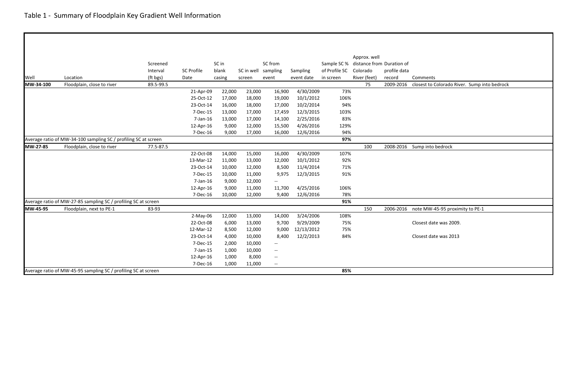|           |                                                                 |           |                   |        |        |                               |            |               | Approx. well |                           |                                              |
|-----------|-----------------------------------------------------------------|-----------|-------------------|--------|--------|-------------------------------|------------|---------------|--------------|---------------------------|----------------------------------------------|
|           |                                                                 | Screened  |                   | SC in  |        | SC from                       |            | Sample SC%    |              | distance from Duration of |                                              |
|           |                                                                 | Interval  | <b>SC Profile</b> | blank  |        | SC in well sampling           | Sampling   | of Profile SC | Colorado     | profile data              |                                              |
| Well      | Location                                                        | (ft bgs)  | Date              | casing | screen | event                         | event date | in screen     | River (feet) | record                    | Comments                                     |
| MW-34-100 | Floodplain, close to river                                      | 89.5-99.5 |                   |        |        |                               |            |               | 75           | 2009-2016                 | closest to Colorado River. Sump into bedrock |
|           |                                                                 |           | 21-Apr-09         | 22,000 | 23,000 | 16,900                        | 4/30/2009  | 73%           |              |                           |                                              |
|           |                                                                 |           | 25-Oct-12         | 17,000 | 18,000 | 19,000                        | 10/1/2012  | 106%          |              |                           |                                              |
|           |                                                                 |           | 23-Oct-14         | 16,000 | 18,000 | 17,000                        | 10/2/2014  | 94%           |              |                           |                                              |
|           |                                                                 |           | 7-Dec-15          | 13,000 | 17,000 | 17,459                        | 12/3/2015  | 103%          |              |                           |                                              |
|           |                                                                 |           | 7-Jan-16          | 13,000 | 17,000 | 14,100                        | 2/25/2016  | 83%           |              |                           |                                              |
|           |                                                                 |           | 12-Apr-16         | 9,000  | 12,000 | 15,500                        | 4/26/2016  | 129%          |              |                           |                                              |
|           |                                                                 |           | 7-Dec-16          | 9,000  | 17,000 | 16,000                        | 12/6/2016  | 94%           |              |                           |                                              |
|           | Average ratio of MW-34-100 sampling SC / profiling SC at screen |           |                   |        |        |                               |            | 97%           |              |                           |                                              |
| MW-27-85  | Floodplain, close to river                                      | 77.5-87.5 |                   |        |        |                               |            |               | 100          |                           | 2008-2016 Sump into bedrock                  |
|           |                                                                 |           | 22-Oct-08         | 14,000 | 15,000 | 16,000                        | 4/30/2009  | 107%          |              |                           |                                              |
|           |                                                                 |           | 13-Mar-12         | 11,000 | 13,000 | 12,000                        | 10/1/2012  | 92%           |              |                           |                                              |
|           |                                                                 |           | 23-Oct-14         | 10,000 | 12,000 | 8,500                         | 11/4/2014  | 71%           |              |                           |                                              |
|           |                                                                 |           | 7-Dec-15          | 10,000 | 11,000 | 9,975                         | 12/3/2015  | 91%           |              |                           |                                              |
|           |                                                                 |           | 7-Jan-16          | 9,000  | 12,000 | $\overline{\phantom{a}}$      |            |               |              |                           |                                              |
|           |                                                                 |           | 12-Apr-16         | 9,000  | 11,000 | 11,700                        | 4/25/2016  | 106%          |              |                           |                                              |
|           |                                                                 |           | 7-Dec-16          | 10,000 | 12,000 | 9,400                         | 12/6/2016  | 78%           |              |                           |                                              |
|           | Average ratio of MW-27-85 sampling SC / profiling SC at screen  |           |                   |        |        |                               |            | 91%           |              |                           |                                              |
| MW-45-95  | Floodplain, next to PE-1                                        | 83-93     |                   |        |        |                               |            |               | 150          | 2006-2016                 | note MW-45-95 proximity to PE-1              |
|           |                                                                 |           | $2-May-06$        | 12,000 | 13,000 | 14,000                        | 3/24/2006  | 108%          |              |                           |                                              |
|           |                                                                 |           | 22-Oct-08         | 6,000  | 13,000 | 9,700                         | 9/29/2009  | 75%           |              |                           | Closest date was 2009.                       |
|           |                                                                 |           | 12-Mar-12         | 8,500  | 12,000 | 9,000                         | 12/13/2012 | 75%           |              |                           |                                              |
|           |                                                                 |           | 23-Oct-14         | 4,000  | 10,000 | 8,400                         | 12/2/2013  | 84%           |              |                           | Closest date was 2013                        |
|           |                                                                 |           | 7-Dec-15          | 2,000  | 10,000 | $\overline{\phantom{a}}$      |            |               |              |                           |                                              |
|           |                                                                 |           | 7-Jan-15          | 1,000  | 10,000 | $\hspace{0.05cm} \textbf{--}$ |            |               |              |                           |                                              |
|           |                                                                 |           | 12-Apr-16         | 1,000  | 8,000  | $-\!$                         |            |               |              |                           |                                              |
|           |                                                                 |           | 7-Dec-16          | 1,000  | 11,000 | $-\!$ –                       |            |               |              |                           |                                              |
|           | Average ratio of MW-45-95 sampling SC / profiling SC at screen  |           |                   |        |        |                               |            | 85%           |              |                           |                                              |

| nents                                   |
|-----------------------------------------|
| st to Colorado River. Sump into bedrock |
|                                         |
|                                         |
|                                         |
|                                         |
|                                         |
|                                         |
| into bedrock                            |
|                                         |
|                                         |
|                                         |
|                                         |
|                                         |
|                                         |
| MW-45-95 proximity to PE-1              |
|                                         |
| st date was 2009.                       |
| st date was 2013                        |
|                                         |
|                                         |
|                                         |
|                                         |
|                                         |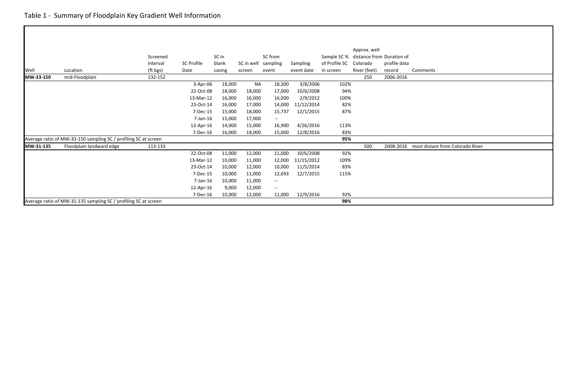|           |                                                                 |          |                   |        |            |                                   |                 |               | Approx. well |                           |            |
|-----------|-----------------------------------------------------------------|----------|-------------------|--------|------------|-----------------------------------|-----------------|---------------|--------------|---------------------------|------------|
|           |                                                                 | Screened |                   | SC in  |            | SC from                           |                 | Sample SC %   |              | distance from Duration of |            |
|           |                                                                 | Interval | <b>SC Profile</b> | blank  | SC in well | sampling                          | <b>Sampling</b> | of Profile SC | Colorado     | profile data              |            |
| Well      | Location                                                        | (ft bgs) | Date              | casing | screen     | event                             | event date      | in screen     | River (feet) | record                    | Comments   |
| MW-33-150 | mid-Floodplain                                                  | 132-152  |                   |        |            |                                   |                 |               | 250          | 2006-2016                 |            |
|           |                                                                 |          | $3-Apr-06$        | 18,000 | <b>NA</b>  | 18,300                            | 3/8/2006        | 102%          |              |                           |            |
|           |                                                                 |          | 22-Oct-08         | 18,000 | 18,000     | 17,000                            | 10/6/2008       | 94%           |              |                           |            |
|           |                                                                 |          | 13-Mar-12         | 16,000 | 16,000     | 16,000                            | 2/9/2012        | 100%          |              |                           |            |
|           |                                                                 |          | 23-Oct-14         | 16,000 | 17,000     | 14,000                            | 11/12/2014      | 82%           |              |                           |            |
|           |                                                                 |          | 7-Dec-15          | 15,000 | 18,000     | 15,737                            | 12/1/2015       | 87%           |              |                           |            |
|           |                                                                 |          | $7$ -Jan-16       | 15,000 | 17,000     | $-\!$ $\!-$                       |                 |               |              |                           |            |
|           |                                                                 |          | 12-Apr-16         | 14,000 | 15,000     | 16,900                            | 4/26/2016       | 113%          |              |                           |            |
|           |                                                                 |          | 7-Dec-16          | 16,000 | 18,000     | 15,000                            | 12/8/2016       | 83%           |              |                           |            |
|           | Average ratio of MW-33-150 sampling SC / profiling SC at screen |          |                   |        |            |                                   |                 | 95%           |              |                           |            |
| MW-31-135 | Floodplain landward edge                                        | 113-133  |                   |        |            |                                   |                 |               | 500          | 2008-2016                 | most dista |
|           |                                                                 |          | 22-Oct-08         | 11,000 | 12,000     | 11,000                            | 10/6/2008       | 92%           |              |                           |            |
|           |                                                                 |          | 13-Mar-12         | 10,000 | 11,000     | 12,000                            | 11/15/2012      | 109%          |              |                           |            |
|           |                                                                 |          | 23-Oct-14         | 10,000 | 12,000     | 10,000                            | 11/5/2014       | 83%           |              |                           |            |
|           |                                                                 |          | 7-Dec-15          | 10,000 | 11,000     | 12,693                            | 12/7/2015       | 115%          |              |                           |            |
|           |                                                                 |          | $7$ -Jan-16       | 10,000 | 11,000     | $\hspace{0.05cm} \dashrightarrow$ |                 |               |              |                           |            |
|           |                                                                 |          | 12-Apr-16         | 9,000  | 12,000     | $-\!$                             |                 |               |              |                           |            |
|           |                                                                 |          | 7-Dec-16          | 10,000 | 12,000     | 11,000                            | 12/9/2016       | 92%           |              |                           |            |
|           | Average ratio of MW-31-135 sampling SC / profiling SC at screen |          |                   |        |            |                                   |                 | 98%           |              |                           |            |

distant from Colorado River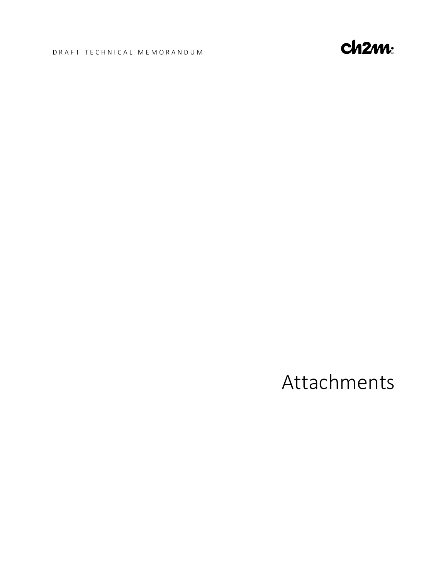#### DRAFT TECHNICAL MEMORANDUM



## Attachments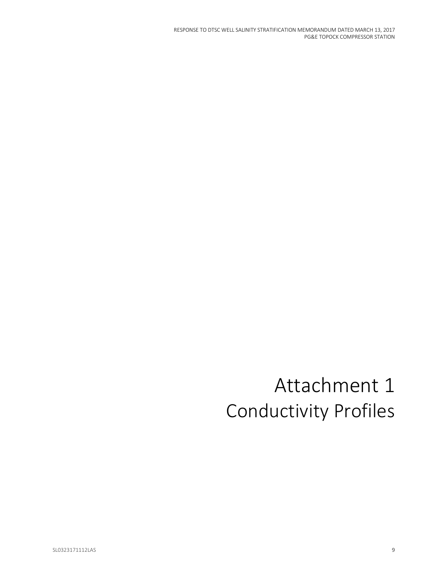RESPONSE TO DTSC WELL SALINITY STRATIFICATION MEMORANDUM DATED MARCH 13, 2017 PG&E TOPOCK COMPRESSOR STATION

# Attachment 1 Conductivity Profiles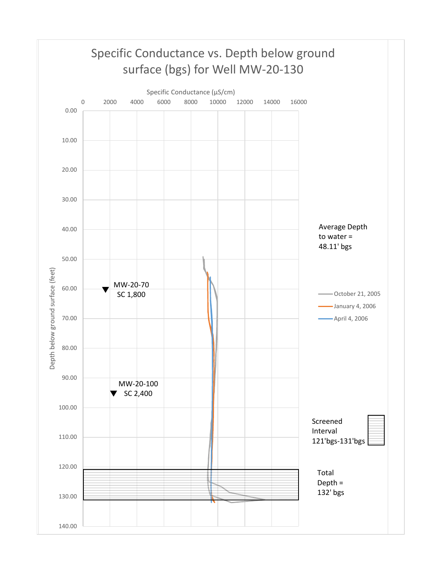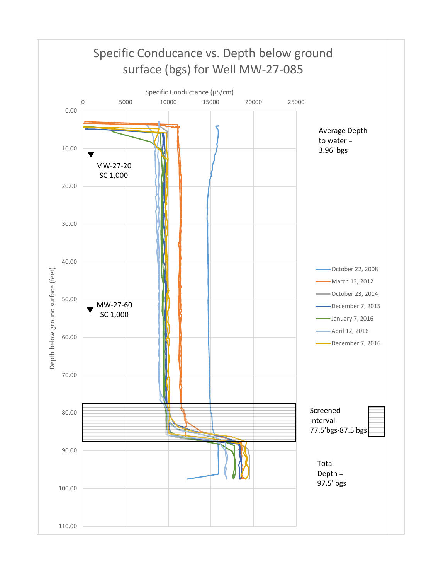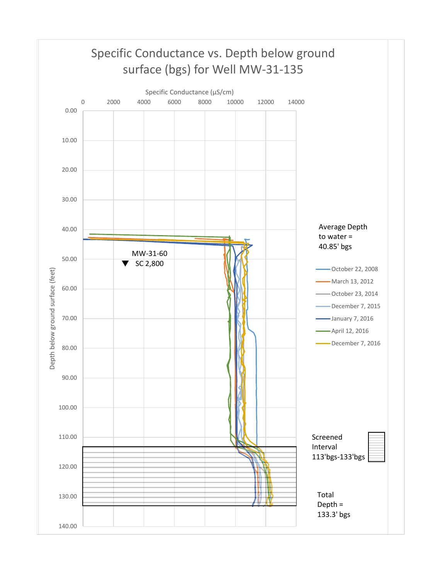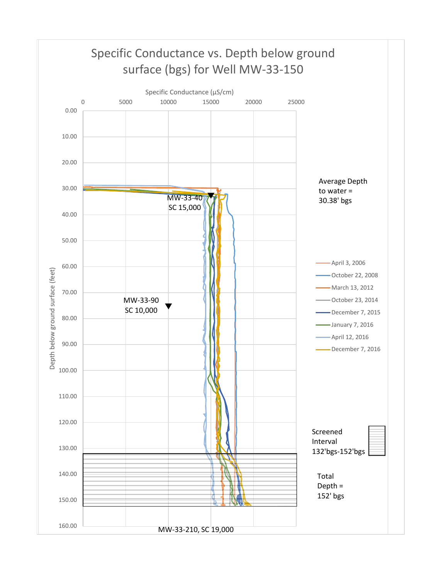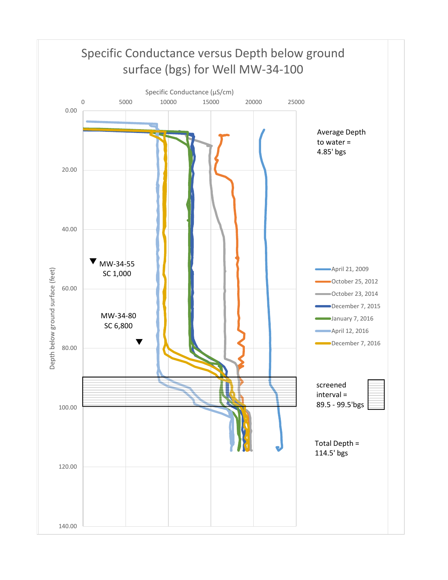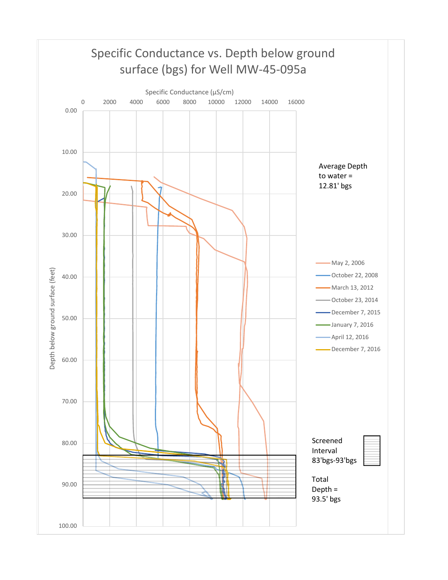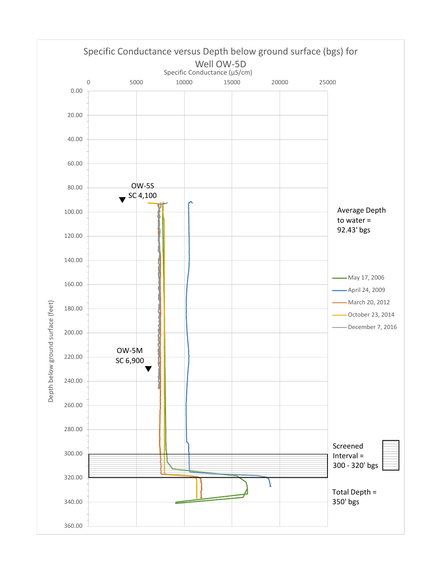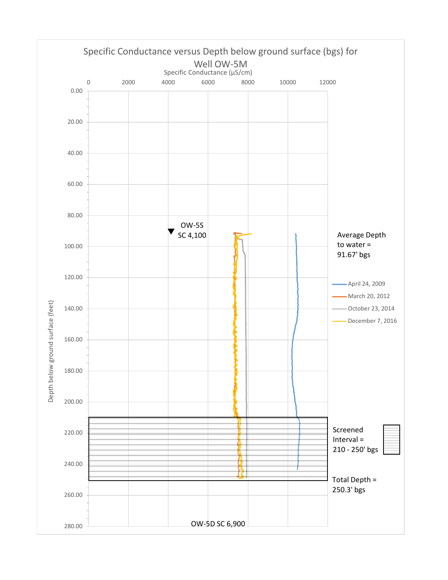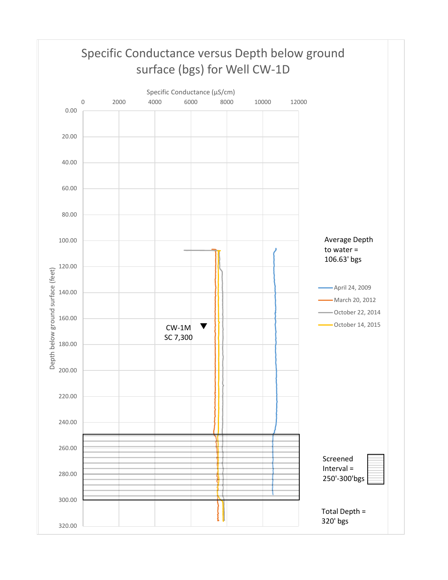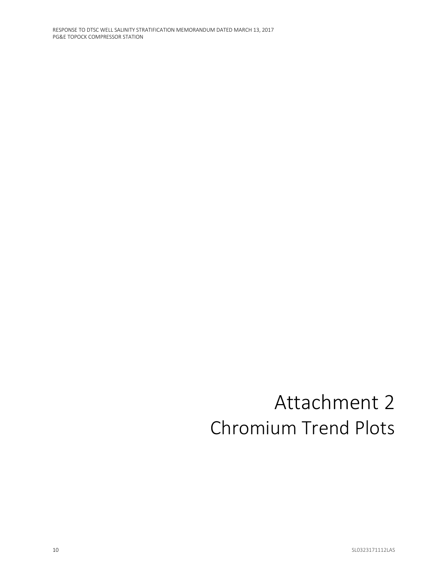# Attachment 2 Chromium Trend Plots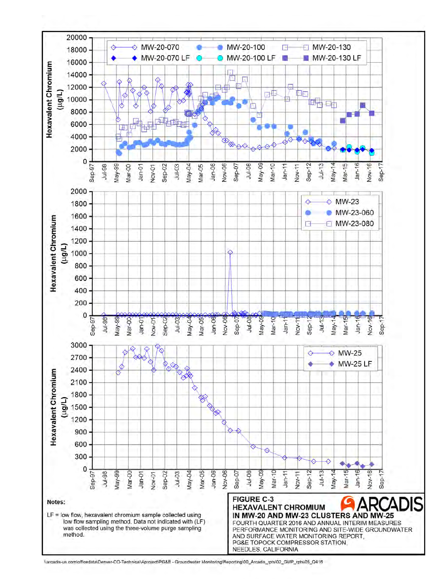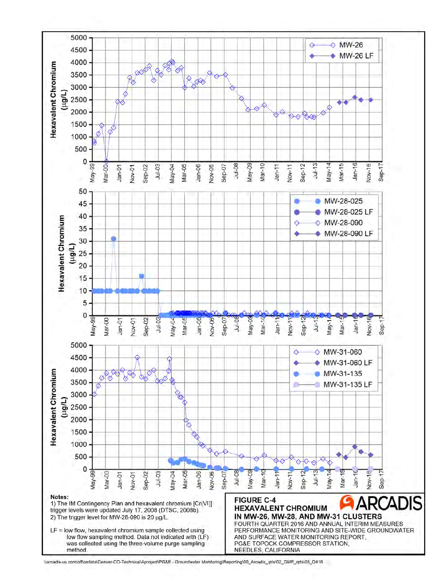

Narcadis-us.com\officedata\Denver-CO-Technical\Aproject\PG&E - Groundwater Monitoring\Reporting\00\_Arcadis\_rpts\02\_GMP\_rpts\05\_Q416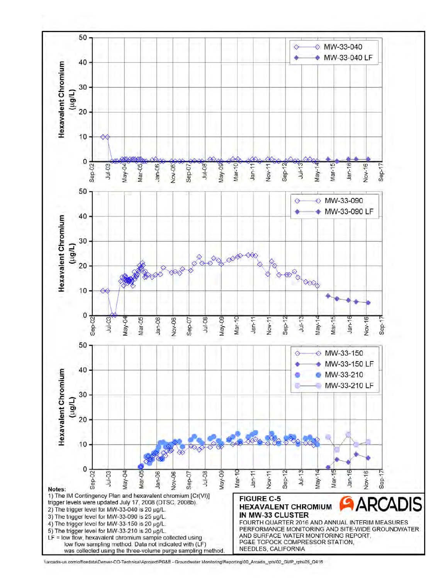

Narcadis-us.com\officedata\Denver-CO-Technical\Aproject\PG&E - Groundwater Monitoring\Reporting\00\_Arcadis\_rpts\02\_GMP\_rpts\05\_Q416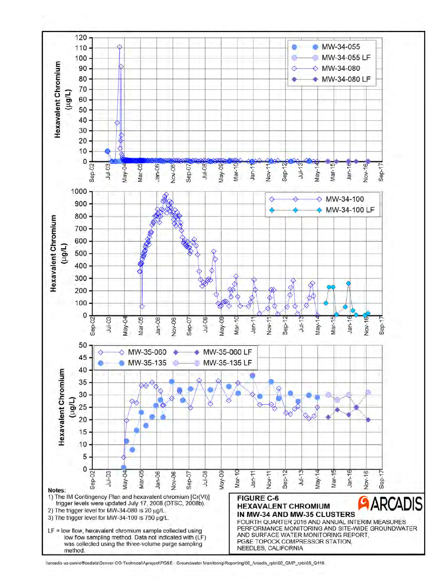

<sup>\\</sup>arcadis-us.com\officedata\Denver-CO-Technical\Aproject\PG&E - Groundwater Monitoring\Reporting\00\_Arcadis\_rpts\02\_GMP\_rpts\05\_Q416.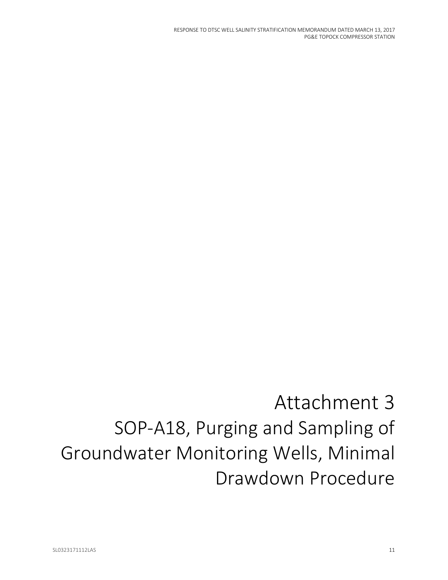RESPONSE TO DTSC WELL SALINITY STRATIFICATION MEMORANDUM DATED MARCH 13, 2017 PG&E TOPOCK COMPRESSOR STATION

# Attachment 3 SOP-A18, Purging and Sampling of Groundwater Monitoring Wells, Minimal Drawdown Procedure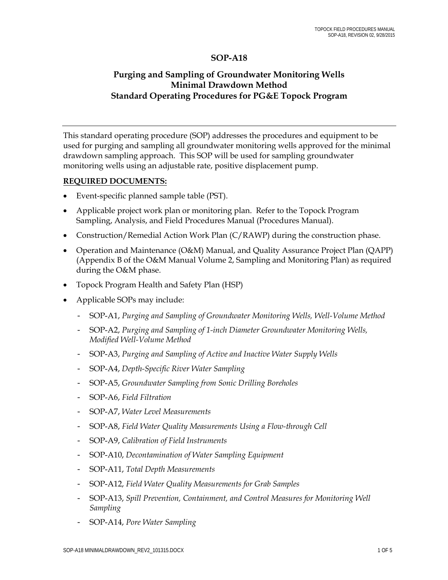#### **SOP-A18**

#### **Purging and Sampling of Groundwater Monitoring Wells Minimal Drawdown Method Standard Operating Procedures for PG&E Topock Program**

This standard operating procedure (SOP) addresses the procedures and equipment to be used for purging and sampling all groundwater monitoring wells approved for the minimal drawdown sampling approach. This SOP will be used for sampling groundwater monitoring wells using an adjustable rate, positive displacement pump.

#### **REQUIRED DOCUMENTS:**

- Event-specific planned sample table (PST).
- Applicable project work plan or monitoring plan. Refer to the Topock Program Sampling, Analysis, and Field Procedures Manual (Procedures Manual).
- Construction/Remedial Action Work Plan (C/RAWP) during the construction phase.
- Operation and Maintenance (O&M) Manual, and Quality Assurance Project Plan (QAPP) (Appendix B of the O&M Manual Volume 2, Sampling and Monitoring Plan) as required during the O&M phase.
- Topock Program Health and Safety Plan (HSP)
- Applicable SOPs may include:
	- SOP-A1, *Purging and Sampling of Groundwater Monitoring Wells, Well-Volume Method*
	- SOP-A2, *Purging and Sampling of 1-inch Diameter Groundwater Monitoring Wells, Modified Well-Volume Method*
	- SOP-A3, *Purging and Sampling of Active and Inactive Water Supply Wells*
	- SOP-A4, *Depth-Specific River Water Sampling*
	- SOP-A5, *Groundwater Sampling from Sonic Drilling Boreholes*
	- SOP-A6, *Field Filtration*
	- SOP-A7, *Water Level Measurements*
	- SOP-A8, *Field Water Quality Measurements Using a Flow-through Cell*
	- SOP-A9, *Calibration of Field Instruments*
	- SOP-A10, *Decontamination of Water Sampling Equipment*
	- SOP-A11, *Total Depth Measurements*
	- SOP-A12, *Field Water Quality Measurements for Grab Samples*
	- SOP-A13, *Spill Prevention, Containment, and Control Measures for Monitoring Well Sampling*
	- SOP-A14, *Pore Water Sampling*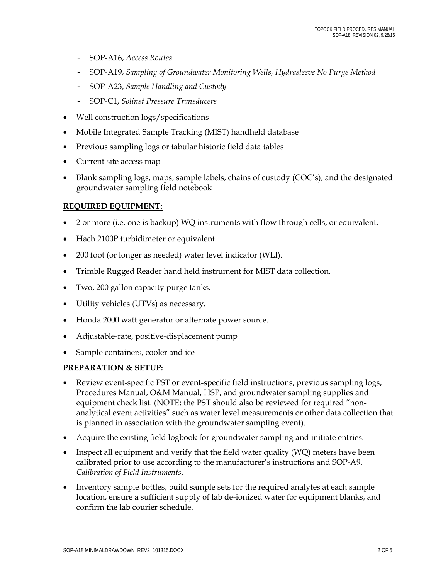- SOP-A16, *Access Routes*
- SOP-A19, *Sampling of Groundwater Monitoring Wells, Hydrasleeve No Purge Method*
- SOP-A23, *Sample Handling and Custody*
- SOP-C1, *Solinst Pressure Transducers*
- Well construction logs/specifications
- Mobile Integrated Sample Tracking (MIST) handheld database
- Previous sampling logs or tabular historic field data tables
- Current site access map
- Blank sampling logs, maps, sample labels, chains of custody (COC's), and the designated groundwater sampling field notebook

#### **REQUIRED EQUIPMENT:**

- 2 or more (i.e. one is backup) WQ instruments with flow through cells, or equivalent.
- Hach 2100P turbidimeter or equivalent.
- 200 foot (or longer as needed) water level indicator (WLI).
- Trimble Rugged Reader hand held instrument for MIST data collection.
- Two, 200 gallon capacity purge tanks.
- Utility vehicles (UTVs) as necessary.
- Honda 2000 watt generator or alternate power source.
- Adjustable-rate, positive-displacement pump
- Sample containers, cooler and ice

#### **PREPARATION & SETUP:**

- Review event-specific PST or event-specific field instructions, previous sampling logs, Procedures Manual, O&M Manual, HSP, and groundwater sampling supplies and equipment check list. (NOTE: the PST should also be reviewed for required "nonanalytical event activities" such as water level measurements or other data collection that is planned in association with the groundwater sampling event).
- Acquire the existing field logbook for groundwater sampling and initiate entries.
- Inspect all equipment and verify that the field water quality (WQ) meters have been calibrated prior to use according to the manufacturer's instructions and SOP-A9, *Calibration of Field Instruments*.
- Inventory sample bottles, build sample sets for the required analytes at each sample location, ensure a sufficient supply of lab de-ionized water for equipment blanks, and confirm the lab courier schedule.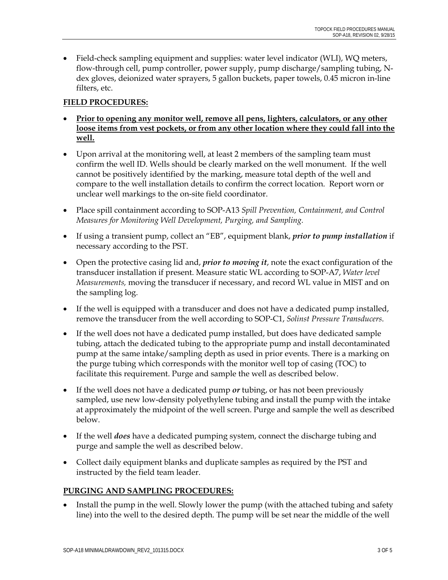Field-check sampling equipment and supplies: water level indicator (WLI), WQ meters, flow-through cell, pump controller, power supply, pump discharge/sampling tubing, Ndex gloves, deionized water sprayers, 5 gallon buckets, paper towels, 0.45 micron in-line filters, etc.

#### **FIELD PROCEDURES:**

- **Prior to opening any monitor well, remove all pens, lighters, calculators, or any other loose items from vest pockets, or from any other location where they could fall into the well.**
- Upon arrival at the monitoring well, at least 2 members of the sampling team must confirm the well ID. Wells should be clearly marked on the well monument. If the well cannot be positively identified by the marking, measure total depth of the well and compare to the well installation details to confirm the correct location. Report worn or unclear well markings to the on-site field coordinator.
- Place spill containment according to SOP-A13 *Spill Prevention, Containment, and Control Measures for Monitoring Well Development, Purging, and Sampling.*
- If using a transient pump, collect an "EB", equipment blank, *prior to pump installation* if necessary according to the PST.
- Open the protective casing lid and, *prior to moving it*, note the exact configuration of the transducer installation if present. Measure static WL according to SOP-A7, *Water level Measurements,* moving the transducer if necessary, and record WL value in MIST and on the sampling log.
- If the well is equipped with a transducer and does not have a dedicated pump installed, remove the transducer from the well according to SOP-C1, *Solinst Pressure Transducers*.
- If the well does not have a dedicated pump installed, but does have dedicated sample tubing, attach the dedicated tubing to the appropriate pump and install decontaminated pump at the same intake/sampling depth as used in prior events. There is a marking on the purge tubing which corresponds with the monitor well top of casing (TOC) to facilitate this requirement. Purge and sample the well as described below.
- If the well does not have a dedicated pump *or* tubing, or has not been previously sampled, use new low-density polyethylene tubing and install the pump with the intake at approximately the midpoint of the well screen. Purge and sample the well as described below.
- If the well *does* have a dedicated pumping system, connect the discharge tubing and purge and sample the well as described below.
- Collect daily equipment blanks and duplicate samples as required by the PST and instructed by the field team leader.

#### **PURGING AND SAMPLING PROCEDURES:**

 Install the pump in the well. Slowly lower the pump (with the attached tubing and safety line) into the well to the desired depth. The pump will be set near the middle of the well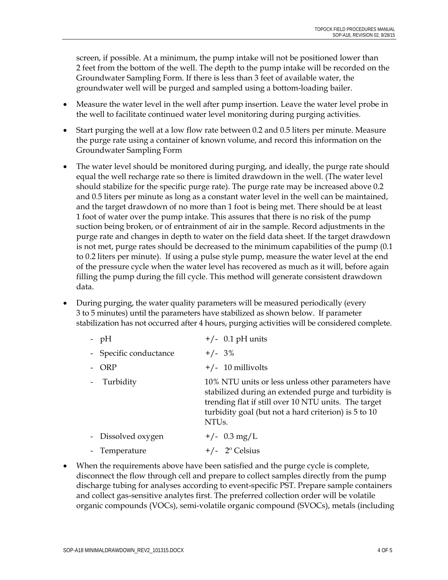screen, if possible. At a minimum, the pump intake will not be positioned lower than 2 feet from the bottom of the well. The depth to the pump intake will be recorded on the Groundwater Sampling Form. If there is less than 3 feet of available water, the groundwater well will be purged and sampled using a bottom-loading bailer.

- Measure the water level in the well after pump insertion. Leave the water level probe in the well to facilitate continued water level monitoring during purging activities.
- Start purging the well at a low flow rate between 0.2 and 0.5 liters per minute. Measure the purge rate using a container of known volume, and record this information on the Groundwater Sampling Form
- The water level should be monitored during purging, and ideally, the purge rate should equal the well recharge rate so there is limited drawdown in the well. (The water level should stabilize for the specific purge rate). The purge rate may be increased above 0.2 and 0.5 liters per minute as long as a constant water level in the well can be maintained, and the target drawdown of no more than 1 foot is being met. There should be at least 1 foot of water over the pump intake. This assures that there is no risk of the pump suction being broken, or of entrainment of air in the sample. Record adjustments in the purge rate and changes in depth to water on the field data sheet. If the target drawdown is not met, purge rates should be decreased to the minimum capabilities of the pump (0.1 to 0.2 liters per minute). If using a pulse style pump, measure the water level at the end of the pressure cycle when the water level has recovered as much as it will, before again filling the pump during the fill cycle. This method will generate consistent drawdown data.
- During purging, the water quality parameters will be measured periodically (every 3 to 5 minutes) until the parameters have stabilized as shown below. If parameter stabilization has not occurred after 4 hours, purging activities will be considered complete.

| $-$ pH                 | $+/-$ 0.1 pH units                                                                                                                                                                                                                               |
|------------------------|--------------------------------------------------------------------------------------------------------------------------------------------------------------------------------------------------------------------------------------------------|
| - Specific conductance | $+/- 3\%$                                                                                                                                                                                                                                        |
| ORP                    | $+/- 10$ millivolts                                                                                                                                                                                                                              |
| Turbidity              | 10% NTU units or less unless other parameters have<br>stabilized during an extended purge and turbidity is<br>trending flat if still over 10 NTU units. The target<br>turbidity goal (but not a hard criterion) is 5 to 10<br>NTU <sub>s</sub> . |
| - Dissolved oxygen     | $+/-$ 0.3 mg/L                                                                                                                                                                                                                                   |
| - Temperature          | $+/-$ 2 <sup>o</sup> Celsius                                                                                                                                                                                                                     |

 When the requirements above have been satisfied and the purge cycle is complete, disconnect the flow through cell and prepare to collect samples directly from the pump discharge tubing for analyses according to event-specific PST. Prepare sample containers and collect gas-sensitive analytes first. The preferred collection order will be volatile organic compounds (VOCs), semi-volatile organic compound (SVOCs), metals (including